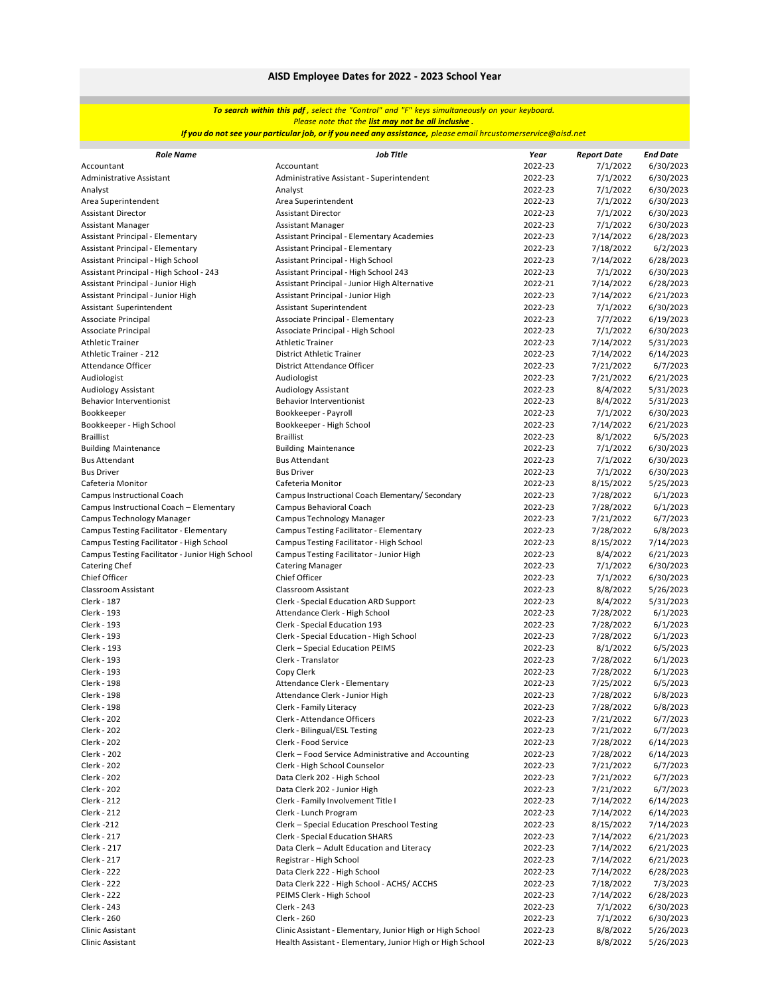### *To search within this pdf , select the "Control" and "F" keys simultaneously on your keyboard. Please note that the list may not be all inclusive .*

<mark>If you do not see your particular job, or if you need any assistance,</mark> please email hrcustomerservice@aisd.net

| <b>Role Name</b>                                | <b>Job Title</b>                                          | Year    | <b>Report Date</b> | <b>End Date</b> |
|-------------------------------------------------|-----------------------------------------------------------|---------|--------------------|-----------------|
| Accountant                                      | Accountant                                                | 2022-23 | 7/1/2022           | 6/30/2023       |
| Administrative Assistant                        | Administrative Assistant - Superintendent                 | 2022-23 | 7/1/2022           | 6/30/2023       |
| Analyst                                         | Analyst                                                   | 2022-23 | 7/1/2022           | 6/30/2023       |
| Area Superintendent                             | Area Superintendent                                       | 2022-23 | 7/1/2022           | 6/30/2023       |
| <b>Assistant Director</b>                       | <b>Assistant Director</b>                                 | 2022-23 | 7/1/2022           | 6/30/2023       |
| <b>Assistant Manager</b>                        | <b>Assistant Manager</b>                                  | 2022-23 | 7/1/2022           | 6/30/2023       |
| Assistant Principal - Elementary                | <b>Assistant Principal - Elementary Academies</b>         | 2022-23 | 7/14/2022          | 6/28/2023       |
| Assistant Principal - Elementary                | Assistant Principal - Elementary                          | 2022-23 | 7/18/2022          | 6/2/2023        |
| Assistant Principal - High School               | Assistant Principal - High School                         | 2022-23 | 7/14/2022          | 6/28/2023       |
| Assistant Principal - High School - 243         | Assistant Principal - High School 243                     | 2022-23 | 7/1/2022           | 6/30/2023       |
| Assistant Principal - Junior High               | Assistant Principal - Junior High Alternative             | 2022-21 | 7/14/2022          | 6/28/2023       |
| Assistant Principal - Junior High               | Assistant Principal - Junior High                         | 2022-23 | 7/14/2022          | 6/21/2023       |
| Assistant Superintendent                        | Assistant Superintendent                                  | 2022-23 | 7/1/2022           | 6/30/2023       |
| Associate Principal                             | Associate Principal - Elementary                          | 2022-23 | 7/7/2022           | 6/19/2023       |
| Associate Principal                             | Associate Principal - High School                         | 2022-23 | 7/1/2022           | 6/30/2023       |
| <b>Athletic Trainer</b>                         | <b>Athletic Trainer</b>                                   | 2022-23 | 7/14/2022          | 5/31/2023       |
| Athletic Trainer - 212                          | <b>District Athletic Trainer</b>                          | 2022-23 | 7/14/2022          | 6/14/2023       |
| Attendance Officer                              | District Attendance Officer                               | 2022-23 | 7/21/2022          | 6/7/2023        |
| Audiologist                                     | Audiologist                                               | 2022-23 | 7/21/2022          | 6/21/2023       |
| <b>Audiology Assistant</b>                      | Audiology Assistant                                       | 2022-23 | 8/4/2022           | 5/31/2023       |
| <b>Behavior Interventionist</b>                 | Behavior Interventionist                                  | 2022-23 | 8/4/2022           | 5/31/2023       |
| Bookkeeper                                      | Bookkeeper - Payroll                                      | 2022-23 | 7/1/2022           | 6/30/2023       |
| Bookkeeper - High School                        | Bookkeeper - High School                                  | 2022-23 | 7/14/2022          | 6/21/2023       |
| <b>Braillist</b>                                | <b>Braillist</b>                                          | 2022-23 | 8/1/2022           | 6/5/2023        |
| <b>Building Maintenance</b>                     | <b>Building Maintenance</b>                               | 2022-23 | 7/1/2022           | 6/30/2023       |
| <b>Bus Attendant</b>                            | <b>Bus Attendant</b>                                      | 2022-23 | 7/1/2022           | 6/30/2023       |
| <b>Bus Driver</b>                               | <b>Bus Driver</b>                                         | 2022-23 | 7/1/2022           | 6/30/2023       |
| Cafeteria Monitor                               | Cafeteria Monitor                                         | 2022-23 | 8/15/2022          | 5/25/2023       |
| <b>Campus Instructional Coach</b>               | Campus Instructional Coach Elementary/Secondary           | 2022-23 | 7/28/2022          | 6/1/2023        |
| Campus Instructional Coach - Elementary         | Campus Behavioral Coach                                   | 2022-23 | 7/28/2022          | 6/1/2023        |
| Campus Technology Manager                       | Campus Technology Manager                                 | 2022-23 | 7/21/2022          | 6/7/2023        |
| Campus Testing Facilitator - Elementary         | Campus Testing Facilitator - Elementary                   | 2022-23 | 7/28/2022          | 6/8/2023        |
| Campus Testing Facilitator - High School        | Campus Testing Facilitator - High School                  | 2022-23 | 8/15/2022          | 7/14/2023       |
| Campus Testing Facilitator - Junior High School | Campus Testing Facilitator - Junior High                  | 2022-23 | 8/4/2022           | 6/21/2023       |
| Catering Chef                                   | <b>Catering Manager</b>                                   | 2022-23 | 7/1/2022           | 6/30/2023       |
| Chief Officer                                   | Chief Officer                                             | 2022-23 | 7/1/2022           | 6/30/2023       |
| Classroom Assistant                             | Classroom Assistant                                       | 2022-23 | 8/8/2022           | 5/26/2023       |
| Clerk - 187                                     | Clerk - Special Education ARD Support                     | 2022-23 | 8/4/2022           | 5/31/2023       |
| Clerk - 193                                     | Attendance Clerk - High School                            | 2022-23 | 7/28/2022          | 6/1/2023        |
| Clerk - 193                                     | Clerk - Special Education 193                             | 2022-23 | 7/28/2022          | 6/1/2023        |
| Clerk - 193                                     | Clerk - Special Education - High School                   | 2022-23 |                    |                 |
|                                                 |                                                           |         | 7/28/2022          | 6/1/2023        |
| Clerk - 193                                     | Clerk - Special Education PEIMS                           | 2022-23 | 8/1/2022           | 6/5/2023        |
| Clerk - 193                                     | Clerk - Translator                                        | 2022-23 | 7/28/2022          | 6/1/2023        |
| Clerk - 193                                     | Copy Clerk                                                | 2022-23 | 7/28/2022          | 6/1/2023        |
| Clerk - 198                                     | Attendance Clerk - Elementary                             | 2022-23 | 7/25/2022          | 6/5/2023        |
| Clerk - 198                                     | Attendance Clerk - Junior High                            | 2022-23 | 7/28/2022          | 6/8/2023        |
| Clerk - 198                                     | Clerk - Family Literacy                                   | 2022-23 | 7/28/2022          | 6/8/2023        |
| Clerk - 202                                     | Clerk - Attendance Officers                               | 2022-23 | 7/21/2022          | 6/7/2023        |
| Clerk - 202                                     | Clerk - Bilingual/ESL Testing                             | 2022-23 | 7/21/2022          | 6/7/2023        |
| Clerk - 202                                     | Clerk - Food Service                                      | 2022-23 | 7/28/2022          | 6/14/2023       |
| Clerk - 202                                     | Clerk - Food Service Administrative and Accounting        | 2022-23 | 7/28/2022          | 6/14/2023       |
| Clerk - 202                                     | Clerk - High School Counselor                             | 2022-23 | 7/21/2022          | 6/7/2023        |
| Clerk - 202                                     | Data Clerk 202 - High School                              | 2022-23 | 7/21/2022          | 6/7/2023        |
| Clerk - 202                                     | Data Clerk 202 - Junior High                              | 2022-23 | 7/21/2022          | 6/7/2023        |
| Clerk - 212                                     | Clerk - Family Involvement Title I                        | 2022-23 | 7/14/2022          | 6/14/2023       |
| Clerk - 212                                     | Clerk - Lunch Program                                     | 2022-23 | 7/14/2022          | 6/14/2023       |
| <b>Clerk -212</b>                               | Clerk - Special Education Preschool Testing               | 2022-23 | 8/15/2022          | 7/14/2023       |
| Clerk - 217                                     | <b>Clerk - Special Education SHARS</b>                    | 2022-23 | 7/14/2022          | 6/21/2023       |
| Clerk - 217                                     | Data Clerk - Adult Education and Literacy                 | 2022-23 | 7/14/2022          | 6/21/2023       |
| Clerk - 217                                     | Registrar - High School                                   | 2022-23 | 7/14/2022          | 6/21/2023       |
| Clerk - 222                                     | Data Clerk 222 - High School                              | 2022-23 | 7/14/2022          | 6/28/2023       |
| Clerk - 222                                     | Data Clerk 222 - High School - ACHS/ ACCHS                | 2022-23 | 7/18/2022          | 7/3/2023        |
| Clerk - 222                                     | PEIMS Clerk - High School                                 | 2022-23 | 7/14/2022          | 6/28/2023       |
| Clerk - 243                                     | Clerk - 243                                               | 2022-23 | 7/1/2022           | 6/30/2023       |
| Clerk - 260                                     | Clerk - 260                                               | 2022-23 | 7/1/2022           | 6/30/2023       |
| <b>Clinic Assistant</b>                         | Clinic Assistant - Elementary, Junior High or High School | 2022-23 | 8/8/2022           | 5/26/2023       |
| <b>Clinic Assistant</b>                         | Health Assistant - Elementary, Junior High or High School | 2022-23 | 8/8/2022           | 5/26/2023       |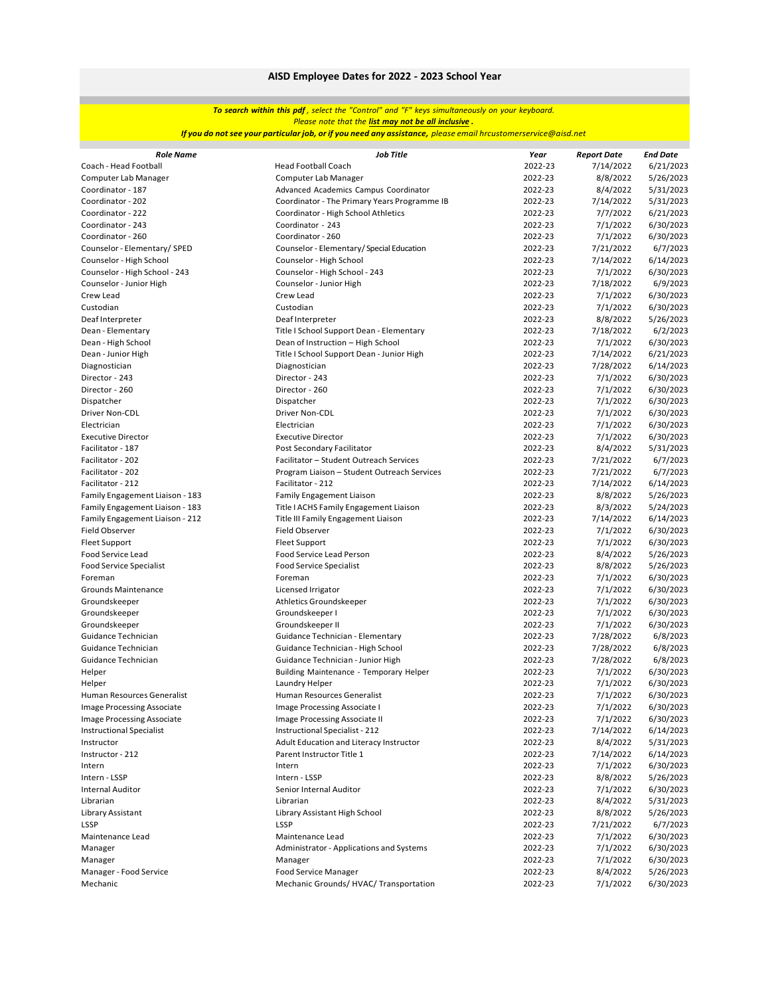### *To search within this pdf , select the "Control" and "F" keys simultaneously on your keyboard. Please note that the list may not be all inclusive .*

<mark>If you do not see your particular job, or if you need any assistance,</mark> please email hrcustomerservice@aisd.net

| <b>Role Name</b>                  | <b>Job Title</b>                             | Year    | <b>Report Date</b> | <b>End Date</b>        |
|-----------------------------------|----------------------------------------------|---------|--------------------|------------------------|
| Coach - Head Football             | <b>Head Football Coach</b>                   | 2022-23 | 7/14/2022          | 6/21/2023              |
| Computer Lab Manager              | Computer Lab Manager                         | 2022-23 | 8/8/2022           | 5/26/2023              |
| Coordinator - 187                 | Advanced Academics Campus Coordinator        | 2022-23 | 8/4/2022           | 5/31/2023              |
| Coordinator - 202                 | Coordinator - The Primary Years Programme IB | 2022-23 | 7/14/2022          | 5/31/2023              |
| Coordinator - 222                 | Coordinator - High School Athletics          | 2022-23 | 7/7/2022           | 6/21/2023              |
| Coordinator - 243                 | Coordinator - 243                            | 2022-23 | 7/1/2022           | 6/30/2023              |
| Coordinator - 260                 | Coordinator - 260                            | 2022-23 | 7/1/2022           | 6/30/2023              |
| Counselor - Elementary/ SPED      | Counselor - Elementary/Special Education     | 2022-23 | 7/21/2022          | 6/7/2023               |
| Counselor - High School           | Counselor - High School                      | 2022-23 | 7/14/2022          | 6/14/2023              |
| Counselor - High School - 243     | Counselor - High School - 243                | 2022-23 | 7/1/2022           | 6/30/2023              |
| Counselor - Junior High           | Counselor - Junior High                      | 2022-23 | 7/18/2022          | 6/9/2023               |
| Crew Lead                         | Crew Lead                                    | 2022-23 | 7/1/2022           | 6/30/2023              |
| Custodian                         | Custodian                                    | 2022-23 | 7/1/2022           | 6/30/2023              |
| Deaf Interpreter                  | Deaf Interpreter                             | 2022-23 | 8/8/2022           | 5/26/2023              |
| Dean - Elementary                 | Title I School Support Dean - Elementary     | 2022-23 | 7/18/2022          | 6/2/2023               |
| Dean - High School                | Dean of Instruction - High School            | 2022-23 | 7/1/2022           | 6/30/2023              |
| Dean - Junior High                | Title I School Support Dean - Junior High    | 2022-23 | 7/14/2022          | 6/21/2023              |
| Diagnostician                     | Diagnostician                                | 2022-23 | 7/28/2022          | 6/14/2023              |
| Director - 243                    | Director - 243                               | 2022-23 | 7/1/2022           | 6/30/2023              |
| Director - 260                    | Director - 260                               | 2022-23 | 7/1/2022           | 6/30/2023              |
| Dispatcher                        | Dispatcher                                   | 2022-23 | 7/1/2022           | 6/30/2023              |
|                                   |                                              | 2022-23 |                    |                        |
| Driver Non-CDL                    | Driver Non-CDL                               | 2022-23 | 7/1/2022           | 6/30/2023<br>6/30/2023 |
| Electrician                       | Electrician                                  |         | 7/1/2022           |                        |
| <b>Executive Director</b>         | <b>Executive Director</b>                    | 2022-23 | 7/1/2022           | 6/30/2023              |
| Facilitator - 187                 | Post Secondary Facilitator                   | 2022-23 | 8/4/2022           | 5/31/2023              |
| Facilitator - 202                 | Facilitator - Student Outreach Services      | 2022-23 | 7/21/2022          | 6/7/2023               |
| Facilitator - 202                 | Program Liaison - Student Outreach Services  | 2022-23 | 7/21/2022          | 6/7/2023               |
| Facilitator - 212                 | Facilitator - 212                            | 2022-23 | 7/14/2022          | 6/14/2023              |
| Family Engagement Liaison - 183   | <b>Family Engagement Liaison</b>             | 2022-23 | 8/8/2022           | 5/26/2023              |
| Family Engagement Liaison - 183   | Title I ACHS Family Engagement Liaison       | 2022-23 | 8/3/2022           | 5/24/2023              |
| Family Engagement Liaison - 212   | Title III Family Engagement Liaison          | 2022-23 | 7/14/2022          | 6/14/2023              |
| <b>Field Observer</b>             | Field Observer                               | 2022-23 | 7/1/2022           | 6/30/2023              |
| <b>Fleet Support</b>              | Fleet Support                                | 2022-23 | 7/1/2022           | 6/30/2023              |
| Food Service Lead                 | Food Service Lead Person                     | 2022-23 | 8/4/2022           | 5/26/2023              |
| <b>Food Service Specialist</b>    | <b>Food Service Specialist</b>               | 2022-23 | 8/8/2022           | 5/26/2023              |
| Foreman                           | Foreman                                      | 2022-23 | 7/1/2022           | 6/30/2023              |
| Grounds Maintenance               | Licensed Irrigator                           | 2022-23 | 7/1/2022           | 6/30/2023              |
| Groundskeeper                     | Athletics Groundskeeper                      | 2022-23 | 7/1/2022           | 6/30/2023              |
| Groundskeeper                     | Groundskeeper I                              | 2022-23 | 7/1/2022           | 6/30/2023              |
| Groundskeeper                     | Groundskeeper II                             | 2022-23 | 7/1/2022           | 6/30/2023              |
| Guidance Technician               | Guidance Technician - Elementary             | 2022-23 | 7/28/2022          | 6/8/2023               |
| Guidance Technician               | Guidance Technician - High School            | 2022-23 | 7/28/2022          | 6/8/2023               |
| Guidance Technician               | Guidance Technician - Junior High            | 2022-23 | 7/28/2022          | 6/8/2023               |
| Helper                            | Building Maintenance - Temporary Helper      | 2022-23 | 7/1/2022           | 6/30/2023              |
| Helper                            | Laundry Helper                               | 2022-23 | 7/1/2022           | 6/30/2023              |
| Human Resources Generalist        | Human Resources Generalist                   | 2022-23 | 7/1/2022           | 6/30/2023              |
| <b>Image Processing Associate</b> | Image Processing Associate I                 | 2022-23 | 7/1/2022           | 6/30/2023              |
| Image Processing Associate        | Image Processing Associate II                | 2022-23 | 7/1/2022           | 6/30/2023              |
| <b>Instructional Specialist</b>   | Instructional Specialist - 212               | 2022-23 | 7/14/2022          | 6/14/2023              |
| Instructor                        | Adult Education and Literacy Instructor      | 2022-23 | 8/4/2022           | 5/31/2023              |
| Instructor - 212                  | Parent Instructor Title 1                    | 2022-23 | 7/14/2022          | 6/14/2023              |
| Intern                            | Intern                                       | 2022-23 | 7/1/2022           | 6/30/2023              |
| Intern - LSSP                     | Intern - LSSP                                | 2022-23 | 8/8/2022           | 5/26/2023              |
| <b>Internal Auditor</b>           | Senior Internal Auditor                      | 2022-23 | 7/1/2022           | 6/30/2023              |
| Librarian                         | Librarian                                    | 2022-23 | 8/4/2022           | 5/31/2023              |
| Library Assistant                 | Library Assistant High School                | 2022-23 | 8/8/2022           | 5/26/2023              |
| <b>LSSP</b>                       | LSSP                                         | 2022-23 | 7/21/2022          | 6/7/2023               |
| Maintenance Lead                  | Maintenance Lead                             | 2022-23 | 7/1/2022           | 6/30/2023              |
| Manager                           | Administrator - Applications and Systems     | 2022-23 | 7/1/2022           | 6/30/2023              |
| Manager                           | Manager                                      | 2022-23 | 7/1/2022           | 6/30/2023              |
| Manager - Food Service            | <b>Food Service Manager</b>                  | 2022-23 | 8/4/2022           | 5/26/2023              |
| Mechanic                          | Mechanic Grounds/ HVAC/ Transportation       | 2022-23 | 7/1/2022           | 6/30/2023              |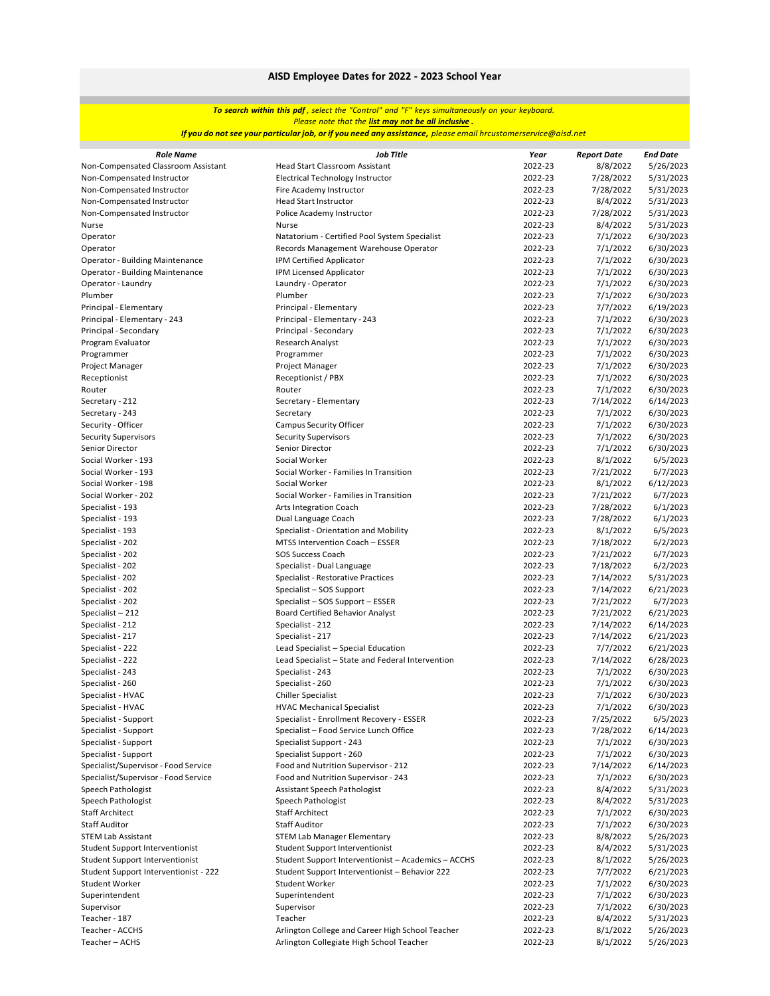### *To search within this pdf , select the "Control" and "F" keys simultaneously on your keyboard. Please note that the list may not be all inclusive .*

<mark>If you do not see your particular job, or if you need any assistance,</mark> please email hrcustomerservice@aisd.net

| <b>Role Name</b><br>Year<br><b>Report Date</b><br><b>End Date</b><br>2022-23<br>Non-Compensated Classroom Assistant<br><b>Head Start Classroom Assistant</b><br>8/8/2022<br>2022-23<br>7/28/2022<br>Non-Compensated Instructor<br>Electrical Technology Instructor<br>2022-23<br>7/28/2022<br>Non-Compensated Instructor<br>Fire Academy Instructor<br>Non-Compensated Instructor<br><b>Head Start Instructor</b><br>2022-23<br>8/4/2022 | 5/26/2023<br>5/31/2023<br>5/31/2023<br>5/31/2023<br>5/31/2023<br>5/31/2023 |
|------------------------------------------------------------------------------------------------------------------------------------------------------------------------------------------------------------------------------------------------------------------------------------------------------------------------------------------------------------------------------------------------------------------------------------------|----------------------------------------------------------------------------|
|                                                                                                                                                                                                                                                                                                                                                                                                                                          |                                                                            |
|                                                                                                                                                                                                                                                                                                                                                                                                                                          |                                                                            |
|                                                                                                                                                                                                                                                                                                                                                                                                                                          |                                                                            |
|                                                                                                                                                                                                                                                                                                                                                                                                                                          |                                                                            |
| Non-Compensated Instructor<br>2022-23<br>7/28/2022<br>Police Academy Instructor                                                                                                                                                                                                                                                                                                                                                          |                                                                            |
| Nurse<br><b>Nurse</b><br>2022-23<br>8/4/2022                                                                                                                                                                                                                                                                                                                                                                                             |                                                                            |
| 2022-23<br>7/1/2022<br>Operator<br>Natatorium - Certified Pool System Specialist                                                                                                                                                                                                                                                                                                                                                         | 6/30/2023                                                                  |
| 2022-23<br>7/1/2022<br>Operator<br>Records Management Warehouse Operator                                                                                                                                                                                                                                                                                                                                                                 | 6/30/2023                                                                  |
| IPM Certified Applicator<br>2022-23<br>7/1/2022<br><b>Operator - Building Maintenance</b>                                                                                                                                                                                                                                                                                                                                                | 6/30/2023                                                                  |
| 2022-23<br>7/1/2022<br><b>Operator - Building Maintenance</b><br>IPM Licensed Applicator                                                                                                                                                                                                                                                                                                                                                 | 6/30/2023                                                                  |
| 2022-23<br>Operator - Laundry<br>Laundry - Operator<br>7/1/2022                                                                                                                                                                                                                                                                                                                                                                          | 6/30/2023                                                                  |
| Plumber<br>Plumber<br>2022-23<br>7/1/2022                                                                                                                                                                                                                                                                                                                                                                                                | 6/30/2023                                                                  |
| 2022-23<br>Principal - Elementary<br>Principal - Elementary<br>7/7/2022                                                                                                                                                                                                                                                                                                                                                                  | 6/19/2023                                                                  |
| 2022-23<br>Principal - Elementary - 243<br>Principal - Elementary - 243<br>7/1/2022                                                                                                                                                                                                                                                                                                                                                      | 6/30/2023                                                                  |
| Principal - Secondary<br>Principal - Secondary<br>2022-23<br>7/1/2022                                                                                                                                                                                                                                                                                                                                                                    | 6/30/2023                                                                  |
| Research Analyst<br>2022-23<br>7/1/2022<br>Program Evaluator                                                                                                                                                                                                                                                                                                                                                                             | 6/30/2023                                                                  |
| 2022-23<br>7/1/2022<br>Programmer<br>Programmer                                                                                                                                                                                                                                                                                                                                                                                          | 6/30/2023                                                                  |
| Project Manager<br>2022-23<br>7/1/2022<br>Project Manager                                                                                                                                                                                                                                                                                                                                                                                | 6/30/2023                                                                  |
| Receptionist / PBX<br>2022-23<br>7/1/2022<br>Receptionist                                                                                                                                                                                                                                                                                                                                                                                | 6/30/2023                                                                  |
| 2022-23<br>Router<br>7/1/2022<br>Router                                                                                                                                                                                                                                                                                                                                                                                                  | 6/30/2023                                                                  |
| 2022-23<br>7/14/2022<br>Secretary - 212<br>Secretary - Elementary                                                                                                                                                                                                                                                                                                                                                                        | 6/14/2023                                                                  |
| 2022-23<br>7/1/2022<br>Secretary - 243<br>Secretary                                                                                                                                                                                                                                                                                                                                                                                      | 6/30/2023                                                                  |
| 2022-23<br>7/1/2022<br>Security - Officer<br><b>Campus Security Officer</b>                                                                                                                                                                                                                                                                                                                                                              | 6/30/2023                                                                  |
| <b>Security Supervisors</b><br>2022-23<br>7/1/2022<br><b>Security Supervisors</b>                                                                                                                                                                                                                                                                                                                                                        | 6/30/2023                                                                  |
| Senior Director<br>Senior Director<br>2022-23<br>7/1/2022                                                                                                                                                                                                                                                                                                                                                                                | 6/30/2023                                                                  |
| Social Worker - 193<br>Social Worker<br>2022-23<br>8/1/2022                                                                                                                                                                                                                                                                                                                                                                              | 6/5/2023                                                                   |
| Social Worker - Families In Transition<br>2022-23<br>7/21/2022<br>Social Worker - 193                                                                                                                                                                                                                                                                                                                                                    | 6/7/2023                                                                   |
| Social Worker<br>2022-23<br>8/1/2022<br>Social Worker - 198                                                                                                                                                                                                                                                                                                                                                                              | 6/12/2023                                                                  |
| Social Worker - 202<br>Social Worker - Families in Transition<br>2022-23<br>7/21/2022                                                                                                                                                                                                                                                                                                                                                    | 6/7/2023                                                                   |
| 2022-23<br>7/28/2022<br>Specialist - 193<br><b>Arts Integration Coach</b>                                                                                                                                                                                                                                                                                                                                                                | 6/1/2023                                                                   |
| 2022-23<br>7/28/2022<br>Specialist - 193<br>Dual Language Coach                                                                                                                                                                                                                                                                                                                                                                          | 6/1/2023                                                                   |
| Specialist - Orientation and Mobility<br>2022-23<br>8/1/2022<br>Specialist - 193                                                                                                                                                                                                                                                                                                                                                         | 6/5/2023                                                                   |
| MTSS Intervention Coach - ESSER<br>2022-23<br>Specialist - 202<br>7/18/2022                                                                                                                                                                                                                                                                                                                                                              | 6/2/2023                                                                   |
| <b>SOS Success Coach</b><br>2022-23<br>Specialist - 202<br>7/21/2022                                                                                                                                                                                                                                                                                                                                                                     | 6/7/2023                                                                   |
| Specialist - 202<br>2022-23<br>Specialist - Dual Language<br>7/18/2022                                                                                                                                                                                                                                                                                                                                                                   | 6/2/2023                                                                   |
| 2022-23<br>Specialist - 202<br>Specialist - Restorative Practices<br>7/14/2022                                                                                                                                                                                                                                                                                                                                                           | 5/31/2023                                                                  |
| 2022-23<br>Specialist - 202<br>Specialist - SOS Support<br>7/14/2022                                                                                                                                                                                                                                                                                                                                                                     | 6/21/2023                                                                  |
| Specialist - SOS Support - ESSER<br>2022-23<br>7/21/2022<br>Specialist - 202                                                                                                                                                                                                                                                                                                                                                             | 6/7/2023                                                                   |
| <b>Board Certified Behavior Analyst</b><br>2022-23<br>7/21/2022<br>Specialist - 212                                                                                                                                                                                                                                                                                                                                                      | 6/21/2023                                                                  |
| 2022-23<br>7/14/2022<br>Specialist - 212<br>Specialist - 212                                                                                                                                                                                                                                                                                                                                                                             | 6/14/2023                                                                  |
| 2022-23<br>Specialist - 217<br>Specialist - 217<br>7/14/2022                                                                                                                                                                                                                                                                                                                                                                             | 6/21/2023                                                                  |
| Lead Specialist - Special Education<br>2022-23<br>7/7/2022<br>Specialist - 222                                                                                                                                                                                                                                                                                                                                                           | 6/21/2023                                                                  |
| Lead Specialist - State and Federal Intervention<br>2022-23<br>7/14/2022<br>Specialist - 222                                                                                                                                                                                                                                                                                                                                             | 6/28/2023                                                                  |
| Specialist - 243<br>Specialist - 243<br>2022-23<br>7/1/2022                                                                                                                                                                                                                                                                                                                                                                              | 6/30/2023                                                                  |
| 2022-23<br>Specialist - 260<br>Specialist - 260<br>7/1/2022<br>2022-23                                                                                                                                                                                                                                                                                                                                                                   | 6/30/2023<br>6/30/2023                                                     |
| Specialist - HVAC<br><b>Chiller Specialist</b><br>7/1/2022<br>2022-23<br>Specialist - HVAC<br><b>HVAC Mechanical Specialist</b>                                                                                                                                                                                                                                                                                                          | 6/30/2023                                                                  |
| 7/1/2022<br>Specialist - Support<br>Specialist - Enrollment Recovery - ESSER<br>7/25/2022                                                                                                                                                                                                                                                                                                                                                | 6/5/2023                                                                   |
| 2022-23<br>Specialist - Support<br>Specialist - Food Service Lunch Office<br>2022-23<br>7/28/2022                                                                                                                                                                                                                                                                                                                                        | 6/14/2023                                                                  |
| Specialist - Support<br>Specialist Support - 243<br>2022-23<br>7/1/2022                                                                                                                                                                                                                                                                                                                                                                  | 6/30/2023                                                                  |
| Specialist - Support<br>2022-23<br>7/1/2022<br>Specialist Support - 260                                                                                                                                                                                                                                                                                                                                                                  | 6/30/2023                                                                  |
| Specialist/Supervisor - Food Service<br>Food and Nutrition Supervisor - 212<br>2022-23<br>7/14/2022                                                                                                                                                                                                                                                                                                                                      | 6/14/2023                                                                  |
| Specialist/Supervisor - Food Service<br>Food and Nutrition Supervisor - 243<br>2022-23<br>7/1/2022                                                                                                                                                                                                                                                                                                                                       | 6/30/2023                                                                  |
| Speech Pathologist<br>Assistant Speech Pathologist<br>2022-23<br>8/4/2022                                                                                                                                                                                                                                                                                                                                                                | 5/31/2023                                                                  |
| Speech Pathologist<br>Speech Pathologist<br>2022-23<br>8/4/2022                                                                                                                                                                                                                                                                                                                                                                          | 5/31/2023                                                                  |
| <b>Staff Architect</b><br><b>Staff Architect</b><br>2022-23<br>7/1/2022                                                                                                                                                                                                                                                                                                                                                                  | 6/30/2023                                                                  |
| <b>Staff Auditor</b><br><b>Staff Auditor</b><br>2022-23<br>7/1/2022                                                                                                                                                                                                                                                                                                                                                                      | 6/30/2023                                                                  |
| <b>STEM Lab Manager Elementary</b><br>2022-23<br>8/8/2022<br><b>STEM Lab Assistant</b>                                                                                                                                                                                                                                                                                                                                                   | 5/26/2023                                                                  |
| Student Support Interventionist<br>2022-23<br>8/4/2022<br>Student Support Interventionist                                                                                                                                                                                                                                                                                                                                                | 5/31/2023                                                                  |
| Student Support Interventionist - Academics - ACCHS<br>2022-23<br>8/1/2022<br>Student Support Interventionist                                                                                                                                                                                                                                                                                                                            | 5/26/2023                                                                  |
| Student Support Interventionist - Behavior 222<br>2022-23<br>7/7/2022<br>Student Support Interventionist - 222                                                                                                                                                                                                                                                                                                                           | 6/21/2023                                                                  |
| <b>Student Worker</b><br>2022-23<br>7/1/2022<br>Student Worker                                                                                                                                                                                                                                                                                                                                                                           | 6/30/2023                                                                  |
| 2022-23<br>7/1/2022<br>Superintendent<br>Superintendent                                                                                                                                                                                                                                                                                                                                                                                  | 6/30/2023                                                                  |
| 2022-23<br>7/1/2022<br>Supervisor<br>Supervisor                                                                                                                                                                                                                                                                                                                                                                                          | 6/30/2023                                                                  |
| Teacher - 187<br>Teacher<br>2022-23<br>8/4/2022                                                                                                                                                                                                                                                                                                                                                                                          | 5/31/2023                                                                  |
| Teacher - ACCHS<br>Arlington College and Career High School Teacher<br>2022-23<br>8/1/2022                                                                                                                                                                                                                                                                                                                                               | 5/26/2023                                                                  |
| Teacher - ACHS<br>Arlington Collegiate High School Teacher<br>2022-23<br>8/1/2022                                                                                                                                                                                                                                                                                                                                                        | 5/26/2023                                                                  |